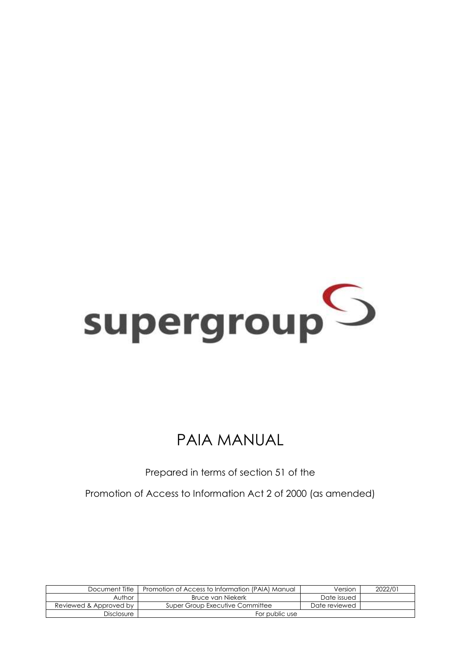

# PAIA MANUAL

Prepared in terms of section 51 of the

Promotion of Access to Information Act 2 of 2000 (as amended)

| Document Title         | Promotion of Access to Information (PAIA) Manual | Version       | 2022/01 |
|------------------------|--------------------------------------------------|---------------|---------|
| Author                 | Bruce van Niekerk                                | Date issued   |         |
| Reviewed & Approved by | Super Group Executive Committee                  | Date reviewed |         |
| Disclosure             | For public use                                   |               |         |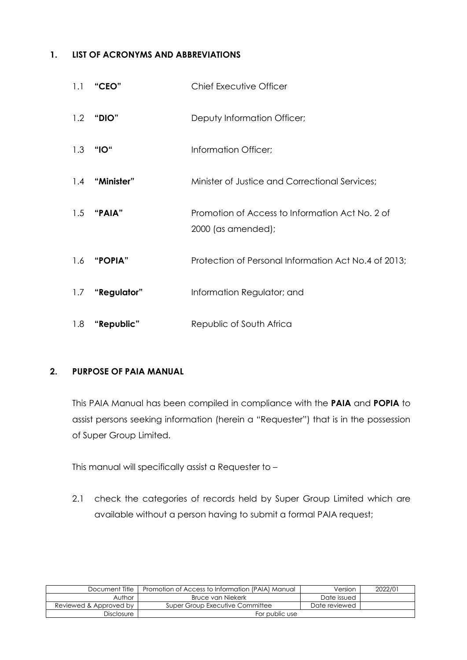#### **1. LIST OF ACRONYMS AND ABBREVIATIONS**

| 1.1 | "CEO"          | <b>Chief Executive Officer</b>                                        |
|-----|----------------|-----------------------------------------------------------------------|
|     | 1.2 "DIO"      | Deputy Information Officer;                                           |
| 1.3 | "IO"           | Information Officer;                                                  |
|     | 1.4 "Minister" | Minister of Justice and Correctional Services;                        |
|     | $1.5$ "PAIA"   | Promotion of Access to Information Act No. 2 of<br>2000 (as amended); |
| 1.6 | <b>"POPIA"</b> | Protection of Personal Information Act No.4 of 2013;                  |
| 1.7 | "Regulator"    | Information Regulator; and                                            |
| 1.8 | "Republic"     | Republic of South Africa                                              |

#### **2. PURPOSE OF PAIA MANUAL**

This PAIA Manual has been compiled in compliance with the **PAIA** and **POPIA** to assist persons seeking information (herein a "Requester") that is in the possession of Super Group Limited.

This manual will specifically assist a Requester to –

2.1 check the categories of records held by Super Group Limited which are available without a person having to submit a formal PAIA request;

| Document Title         | Promotion of Access to Information (PAIA) Manual | Version       | 2022/01 |
|------------------------|--------------------------------------------------|---------------|---------|
| Author                 | Bruce van Niekerk                                | Date issued   |         |
| Reviewed & Approved by | Super Group Executive Committee                  | Date reviewed |         |
| Disclosure             | For public use                                   |               |         |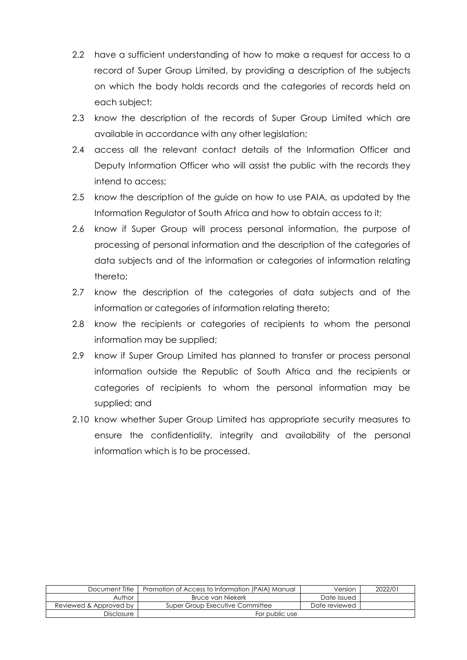- 2.2 have a sufficient understanding of how to make a request for access to a record of Super Group Limited, by providing a description of the subjects on which the body holds records and the categories of records held on each subject;
- 2.3 know the description of the records of Super Group Limited which are available in accordance with any other legislation;
- 2.4 access all the relevant contact details of the Information Officer and Deputy Information Officer who will assist the public with the records they intend to access;
- 2.5 know the description of the guide on how to use PAIA, as updated by the Information Regulator of South Africa and how to obtain access to it;
- 2.6 know if Super Group will process personal information, the purpose of processing of personal information and the description of the categories of data subjects and of the information or categories of information relating thereto;
- 2.7 know the description of the categories of data subjects and of the information or categories of information relating thereto;
- 2.8 know the recipients or categories of recipients to whom the personal information may be supplied;
- 2.9 know if Super Group Limited has planned to transfer or process personal information outside the Republic of South Africa and the recipients or categories of recipients to whom the personal information may be supplied; and
- 2.10 know whether Super Group Limited has appropriate security measures to ensure the confidentiality, integrity and availability of the personal information which is to be processed.

| Document Title         | Promotion of Access to Information (PAIA) Manual |               | 2022/01 |
|------------------------|--------------------------------------------------|---------------|---------|
| Author                 | Bruce van Niekerk                                | Date issued   |         |
| Reviewed & Approved by | Super Group Executive Committee                  | Date reviewed |         |
| <b>Disclosure</b>      | For public use                                   |               |         |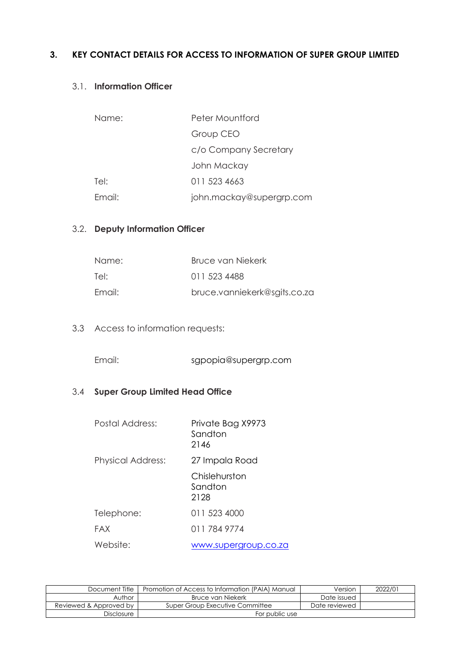#### **3. KEY CONTACT DETAILS FOR ACCESS TO INFORMATION OF SUPER GROUP LIMITED**

#### 3.1. **Information Officer**

| Name:  | Peter Mountford          |
|--------|--------------------------|
|        | Group CEO                |
|        | c/o Company Secretary    |
|        | John Mackay              |
| Tel:   | 011 523 4663             |
| Email: | john.mackay@supergrp.com |

## 3.2. **Deputy Information Officer**

| Name:  | Bruce van Niekerk            |
|--------|------------------------------|
| Tel:   | 011 523 4488                 |
| Email: | bruce.vanniekerk@sgits.co.za |

3.3 Access to information requests:

Email: sgpopia@supergrp.com

## 3.4 **Super Group Limited Head Office**

| Postal Address:          | Private Bag X9973<br>Sandton<br>2146 |
|--------------------------|--------------------------------------|
| <b>Physical Address:</b> | 27 Impala Road                       |
|                          | Chislehurston<br>Sandton<br>2128     |
| Telephone:               | 011 523 4000                         |
| FAX                      | 011 784 9774                         |
| Website:                 | www.supergroup.co.za                 |

| Document Title         | Promotion of Access to Information (PAIA) Manual | Version       | 2022/01 |
|------------------------|--------------------------------------------------|---------------|---------|
| Author                 | Bruce van Niekerk                                | Date issued   |         |
| Reviewed & Approved by | Super Group Executive Committee                  | Date reviewed |         |
| <b>Disclosure</b>      | For public use                                   |               |         |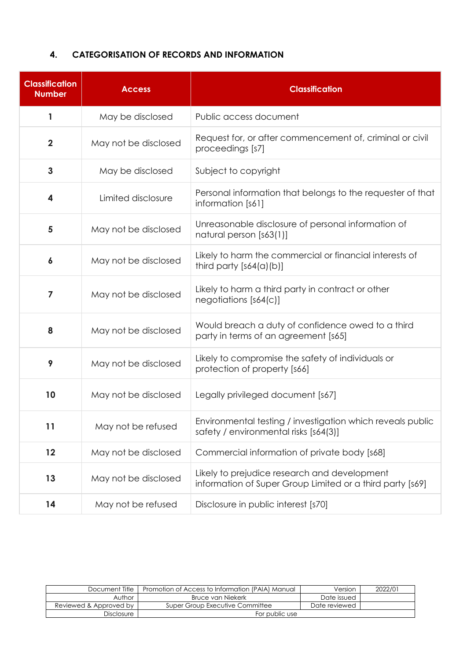#### **4. CATEGORISATION OF RECORDS AND INFORMATION**

| <b>Classification</b><br><b>Number</b> | <b>Access</b>        | <b>Classification</b>                                                                                     |
|----------------------------------------|----------------------|-----------------------------------------------------------------------------------------------------------|
| 1                                      | May be disclosed     | Public access document                                                                                    |
| $\overline{\mathbf{2}}$                | May not be disclosed | Request for, or after commencement of, criminal or civil<br>proceedings [s7]                              |
| $\mathbf{3}$                           | May be disclosed     | Subject to copyright                                                                                      |
| 4                                      | Limited disclosure   | Personal information that belongs to the requester of that<br>information [s61]                           |
| 5                                      | May not be disclosed | Unreasonable disclosure of personal information of<br>natural person [s63(1)]                             |
| $\boldsymbol{6}$                       | May not be disclosed | Likely to harm the commercial or financial interests of<br>third party $[s64(a)(b)]$                      |
| $\overline{\mathbf{z}}$                | May not be disclosed | Likely to harm a third party in contract or other<br>negotiations [s64(c)]                                |
| 8                                      | May not be disclosed | Would breach a duty of confidence owed to a third<br>party in terms of an agreement [s65]                 |
| 9                                      | May not be disclosed | Likely to compromise the safety of individuals or<br>protection of property [s66]                         |
| 10                                     | May not be disclosed | Legally privileged document [s67]                                                                         |
| 11                                     | May not be refused   | Environmental testing / investigation which reveals public<br>safety / environmental risks [s64(3)]       |
| 12                                     | May not be disclosed | Commercial information of private body [s68]                                                              |
| 13                                     | May not be disclosed | Likely to prejudice research and development<br>information of Super Group Limited or a third party [s69] |
| 14                                     | May not be refused   | Disclosure in public interest [s70]                                                                       |

| Document Title         | Promotion of Access to Information (PAIA) Manual | Version       | 2022/01 |
|------------------------|--------------------------------------------------|---------------|---------|
| Author                 | Bruce van Niekerk                                | Date issued   |         |
| Reviewed & Approved by | Super Group Executive Committee                  | Date reviewed |         |
| Disclosure             | For public use                                   |               |         |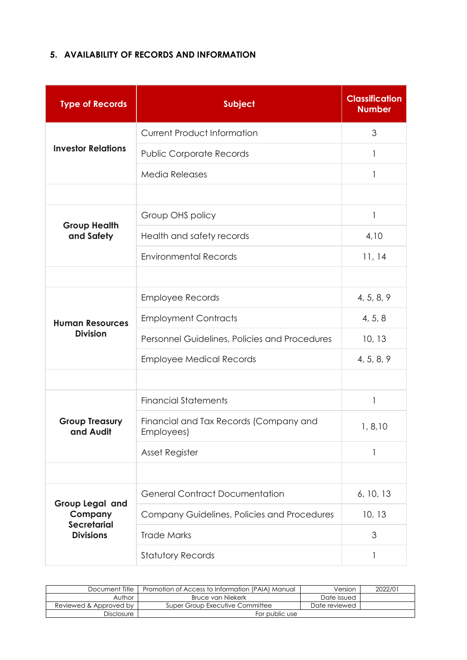#### **5. AVAILABILITY OF RECORDS AND INFORMATION**

| <b>Type of Records</b>                    | <b>Subject</b>                                       | <b>Classification</b><br><b>Number</b> |
|-------------------------------------------|------------------------------------------------------|----------------------------------------|
|                                           | <b>Current Product Information</b>                   | 3                                      |
| <b>Investor Relations</b>                 | <b>Public Corporate Records</b>                      | 1                                      |
|                                           | <b>Media Releases</b>                                |                                        |
|                                           |                                                      |                                        |
| <b>Group Health</b>                       | Group OHS policy                                     | 1                                      |
| and Safety                                | Health and safety records                            | 4,10                                   |
|                                           | <b>Environmental Records</b>                         | 11, 14                                 |
|                                           |                                                      |                                        |
| <b>Human Resources</b><br><b>Division</b> | <b>Employee Records</b>                              | 4, 5, 8, 9                             |
|                                           | <b>Employment Contracts</b>                          | 4, 5, 8                                |
|                                           | Personnel Guidelines, Policies and Procedures        | 10, 13                                 |
|                                           | <b>Employee Medical Records</b>                      | 4, 5, 8, 9                             |
|                                           |                                                      |                                        |
|                                           | <b>Financial Statements</b>                          | 1                                      |
| <b>Group Treasury</b><br>and Audit        | Financial and Tax Records (Company and<br>Employees) | 1, 8, 10                               |
|                                           | Asset Register                                       |                                        |
|                                           |                                                      |                                        |
| <b>Group Legal and</b><br>Company         | <b>General Contract Documentation</b>                | 6, 10, 13                              |
|                                           | Company Guidelines, Policies and Procedures          | 10, 13                                 |
| <b>Secretarial</b><br><b>Divisions</b>    | <b>Trade Marks</b>                                   | 3                                      |
|                                           | <b>Statutory Records</b>                             | 1                                      |

| Document Title         | Promotion of Access to Information (PAIA) Manual | Version       | 2022/01 |
|------------------------|--------------------------------------------------|---------------|---------|
| Author                 | Bruce van Niekerk                                | Date issued   |         |
| Reviewed & Approved by | Super Group Executive Committee                  | Date reviewed |         |
| <b>Disclosure</b>      | For public use                                   |               |         |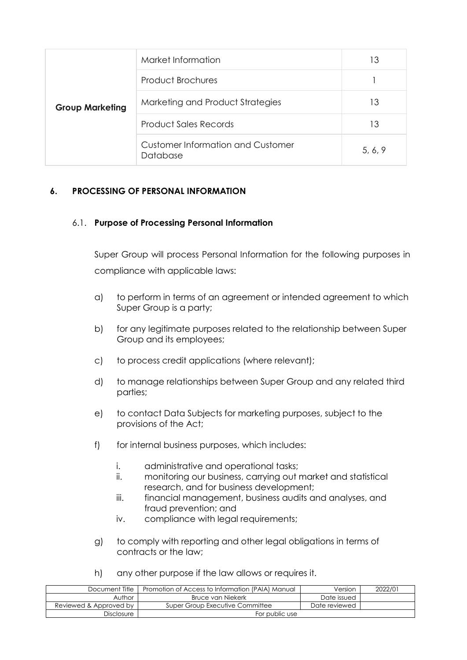| <b>Group Marketing</b> | Market Information                                   | 13      |
|------------------------|------------------------------------------------------|---------|
|                        | <b>Product Brochures</b>                             |         |
|                        | Marketing and Product Strategies                     | 13      |
|                        | <b>Product Sales Records</b>                         | 13      |
|                        | <b>Customer Information and Customer</b><br>Database | 5, 6, 9 |

#### **6. PROCESSING OF PERSONAL INFORMATION**

#### 6.1. **Purpose of Processing Personal Information**

Super Group will process Personal Information for the following purposes in compliance with applicable laws:

- a) to perform in terms of an agreement or intended agreement to which Super Group is a party;
- b) for any legitimate purposes related to the relationship between Super Group and its employees;
- c) to process credit applications (where relevant);
- d) to manage relationships between Super Group and any related third parties;
- e) to contact Data Subjects for marketing purposes, subject to the provisions of the Act;
- f) for internal business purposes, which includes:
	- i. administrative and operational tasks;
	- ii. monitoring our business, carrying out market and statistical research, and for business development;
	- iii. financial management, business audits and analyses, and fraud prevention; and
	- iv. compliance with legal requirements;
- g) to comply with reporting and other legal obligations in terms of contracts or the law;
- h) any other purpose if the law allows or requires it.

| Document Title         | Promotion of Access to Information (PAIA) Manual | Version       | 2022/01 |
|------------------------|--------------------------------------------------|---------------|---------|
| Author                 | Bruce van Niekerk                                | Date issued   |         |
| Reviewed & Approved by | Super Group Executive Committee                  | Date reviewed |         |
| Disclosure             | For public use                                   |               |         |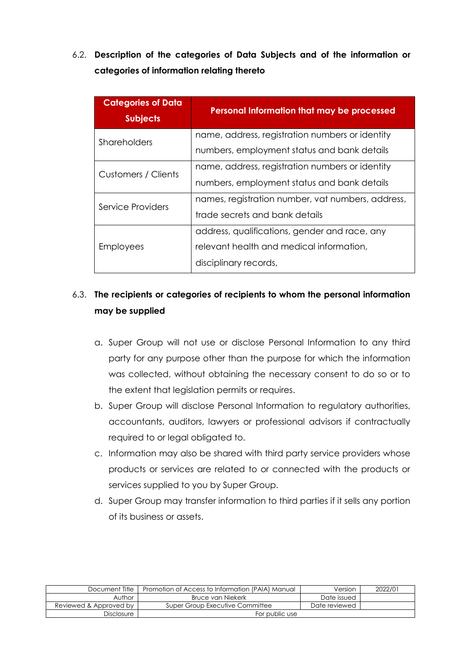6.2. **Description of the categories of Data Subjects and of the information or categories of information relating thereto**

| <b>Categories of Data</b><br><b>Subjects</b> | Personal Information that may be processed        |
|----------------------------------------------|---------------------------------------------------|
| Shareholders                                 | name, address, registration numbers or identity   |
|                                              | numbers, employment status and bank details       |
| Customers / Clients                          | name, address, registration numbers or identity   |
|                                              | numbers, employment status and bank details       |
| Service Providers                            | names, registration number, vat numbers, address, |
|                                              | trade secrets and bank details                    |
|                                              | address, qualifications, gender and race, any     |
| <b>Employees</b>                             | relevant health and medical information,          |
|                                              | disciplinary records,                             |

# 6.3. **The recipients or categories of recipients to whom the personal information may be supplied**

- a. Super Group will not use or disclose Personal Information to any third party for any purpose other than the purpose for which the information was collected, without obtaining the necessary consent to do so or to the extent that legislation permits or requires.
- b. Super Group will disclose Personal Information to regulatory authorities, accountants, auditors, lawyers or professional advisors if contractually required to or legal obligated to.
- c. Information may also be shared with third party service providers whose products or services are related to or connected with the products or services supplied to you by Super Group.
- d. Super Group may transfer information to third parties if it sells any portion of its business or assets.

| Document Title         | Promotion of Access to Information (PAIA) Manual | Version       | 2022/01 |
|------------------------|--------------------------------------------------|---------------|---------|
| Author                 | Bruce van Niekerk                                | Date issued   |         |
| Reviewed & Approved by | Super Group Executive Committee                  | Date reviewed |         |
| Disclosure             | For public use                                   |               |         |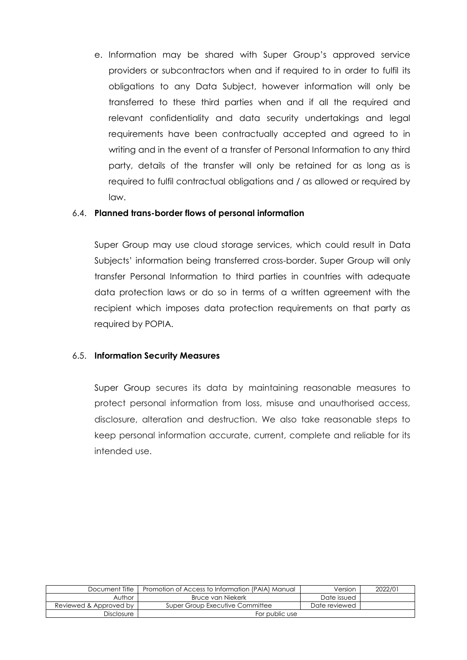e. Information may be shared with Super Group's approved service providers or subcontractors when and if required to in order to fulfil its obligations to any Data Subject, however information will only be transferred to these third parties when and if all the required and relevant confidentiality and data security undertakings and legal requirements have been contractually accepted and agreed to in writing and in the event of a transfer of Personal Information to any third party, details of the transfer will only be retained for as long as is required to fulfil contractual obligations and / as allowed or required by law.

#### 6.4. **Planned trans-border flows of personal information**

Super Group may use cloud storage services, which could result in Data Subjects' information being transferred cross-border. Super Group will only transfer Personal Information to third parties in countries with adequate data protection laws or do so in terms of a written agreement with the recipient which imposes data protection requirements on that party as required by POPIA.

#### 6.5. **Information Security Measures**

Super Group secures its data by maintaining reasonable measures to protect personal information from loss, misuse and unauthorised access, disclosure, alteration and destruction. We also take reasonable steps to keep personal information accurate, current, complete and reliable for its intended use.

| Document Title         | Promotion of Access to Information (PAIA) Manual | Version       | 2022/01 |
|------------------------|--------------------------------------------------|---------------|---------|
| Author                 | Bruce van Niekerk                                | Date issued   |         |
| Reviewed & Approved by | Super Group Executive Committee                  | Date reviewed |         |
| Disclosure             | For public use                                   |               |         |